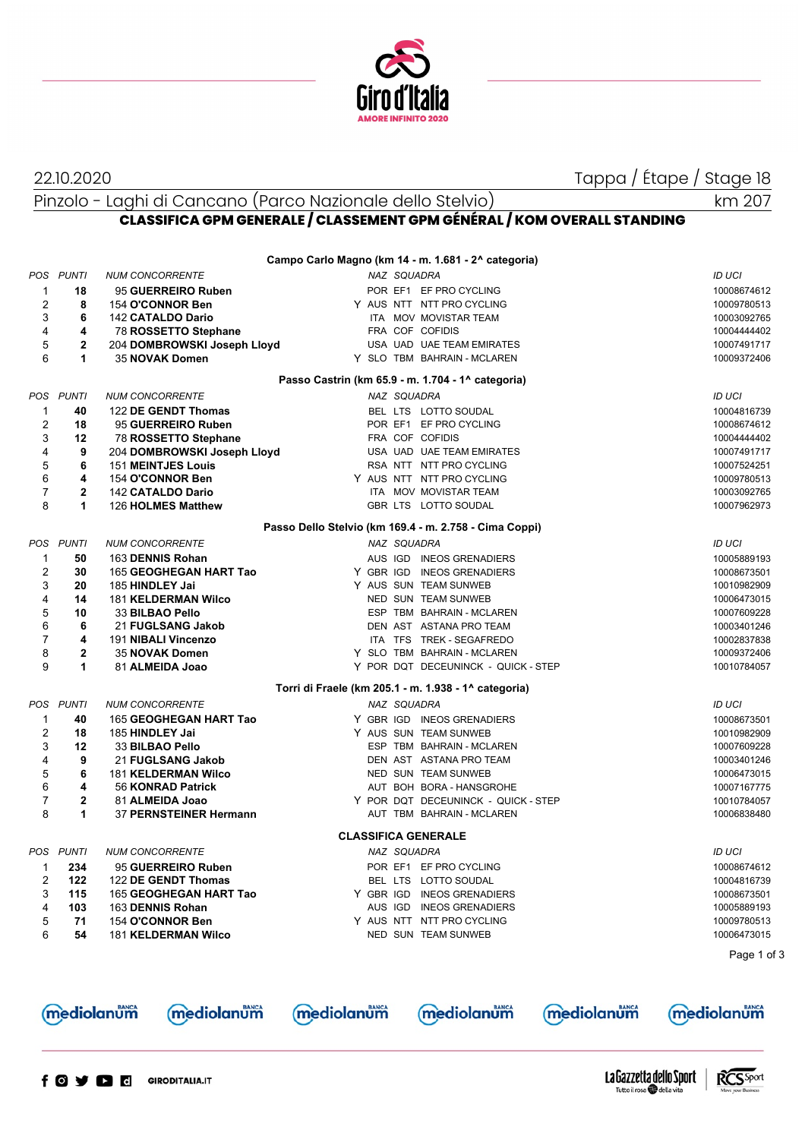

22.10.2020 Tappa / Étape / Stage 18

Pinzolo - Laghi di Cancano (Parco Nazionale dello Stelvio)

## **CLASSIFICA GPM GENERALE / CLASSEMENT GPM GÉNÉRAL / KOM OVERALL STANDING**

| POS PUNTI<br>NAZ SQUADRA<br><b>ID UCI</b><br><b>NUM CONCORRENTE</b><br>POR EF1 EF PRO CYCLING<br>1<br>18<br>95 GUERREIRO Ruben<br>10008674612<br>2<br>8<br>154 O'CONNOR Ben<br>Y AUS NTT NTT PRO CYCLING<br>10009780513<br>3<br>6<br>142 CATALDO Dario<br>ITA MOV MOVISTAR TEAM<br>10003092765<br>4<br>FRA COF COFIDIS<br>4<br>78 ROSSETTO Stephane<br>10004444402<br>5<br>$\mathbf 2$<br>204 DOMBROWSKI Joseph Lloyd<br>USA UAD UAE TEAM EMIRATES<br>10007491717<br>6<br>1<br>35 NOVAK Domen<br>Y SLO TBM BAHRAIN - MCLAREN<br>10009372406<br>Passo Castrin (km 65.9 - m. 1.704 - 1^ categoria)<br>POS PUNTI<br><b>NUM CONCORRENTE</b><br>NAZ SQUADRA<br><b>ID UCI</b><br>122 DE GENDT Thomas<br>BEL LTS LOTTO SOUDAL<br>1<br>40<br>10004816739<br>$\overline{2}$<br>18<br>POR EF1 EF PRO CYCLING<br>95 GUERREIRO Ruben<br>10008674612<br>3<br>78 ROSSETTO Stephane<br>FRA COF COFIDIS<br>12<br>10004444402<br>4<br>9<br>USA UAD UAE TEAM EMIRATES<br>204 DOMBROWSKI Joseph Lloyd<br>10007491717<br>5<br>6<br>RSA NTT NTT PRO CYCLING<br><b>151 MEINTJES Louis</b><br>10007524251<br>6<br>4<br>154 O'CONNOR Ben<br>Y AUS NTT NTT PRO CYCLING<br>10009780513<br>$\overline{7}$<br>$\mathbf{2}$<br>142 CATALDO Dario<br>ITA MOV MOVISTAR TEAM<br>10003092765<br>8<br>1<br>GBR LTS LOTTO SOUDAL<br>126 HOLMES Matthew<br>10007962973<br>Passo Dello Stelvio (km 169.4 - m. 2.758 - Cima Coppi)<br><b>POS</b><br>PUNTI<br><b>NUM CONCORRENTE</b><br>NAZ SQUADRA<br><b>ID UCI</b><br>1<br>50<br>163 DENNIS Rohan<br>AUS IGD INEOS GRENADIERS<br>10005889193<br>$\overline{2}$<br>30<br>165 GEOGHEGAN HART Tao<br>Y GBR IGD INEOS GRENADIERS<br>10008673501<br>3<br>Y AUS SUN TEAM SUNWEB<br>20<br>185 HINDLEY Jai<br>10010982909<br>4<br>14<br><b>181 KELDERMAN Wilco</b><br>NED SUN TEAM SUNWEB<br>10006473015<br>5<br>10<br>ESP TBM BAHRAIN - MCLAREN<br>33 BILBAO Pello<br>10007609228<br>6<br>6<br>21 FUGLSANG Jakob<br>DEN AST ASTANA PRO TEAM<br>10003401246<br>$\overline{7}$<br>4<br>191 NIBALI Vincenzo<br>ITA TFS TREK - SEGAFREDO<br>10002837838<br>8<br>$\mathbf{2}$<br>35 NOVAK Domen<br>Y SLO TBM BAHRAIN - MCLAREN<br>10009372406<br>9<br>1<br>81 ALMEIDA Joao<br>Y POR DQT DECEUNINCK - QUICK - STEP<br>10010784057<br>Torri di Fraele (km 205.1 - m. 1.938 - 1^ categoria)<br><b>POS</b><br><b>PUNTI</b><br><b>NUM CONCORRENTE</b><br>NAZ SQUADRA<br><b>ID UCI</b><br>$\mathbf 1$<br>165 GEOGHEGAN HART Tao<br>Y GBR IGD INEOS GRENADIERS<br>40<br>10008673501<br>$\overline{2}$<br>18<br>Y AUS SUN TEAM SUNWEB<br>185 HINDLEY Jai<br>10010982909<br>3<br>12<br>ESP TBM BAHRAIN - MCLAREN<br>33 BILBAO Pello<br>10007609228<br>$\overline{4}$<br>9<br>DEN AST ASTANA PRO TEAM<br>21 FUGLSANG Jakob<br>10003401246<br>5<br>6<br><b>181 KELDERMAN Wilco</b><br>NED SUN TEAM SUNWEB<br>10006473015<br>6<br>4<br>56 KONRAD Patrick<br>AUT BOH BORA - HANSGROHE<br>10007167775<br>$\overline{7}$<br>$\mathbf{2}$<br>81 ALMEIDA Joao<br>Y POR DQT DECEUNINCK - QUICK - STEP<br>10010784057<br>1<br>8<br>37 PERNSTEINER Hermann<br>AUT TBM BAHRAIN - MCLAREN<br>10006838480<br><b>CLASSIFICA GENERALE</b><br><b>ID UCI</b><br>NAZ SQUADRA<br>POS PUNTI<br><b>NUM CONCORRENTE</b><br>95 GUERREIRO Ruben<br>234<br>POR EF1 EF PRO CYCLING<br>10008674612<br>1<br>2<br>122<br>122 DE GENDT Thomas<br>BEL LTS LOTTO SOUDAL<br>10004816739<br>3<br>165 GEOGHEGAN HART Tao<br>Y GBR IGD INEOS GRENADIERS<br>115<br>10008673501<br>4<br>103<br>163 DENNIS Rohan<br>AUS IGD INEOS GRENADIERS<br>10005889193<br>5<br>71<br>154 O'CONNOR Ben<br>Y AUS NTT NTT PRO CYCLING<br>10009780513<br>6<br>NED SUN TEAM SUNWEB<br>54<br><b>181 KELDERMAN Wilco</b><br>10006473015<br><b>mediolanum</b><br>mediolanum mediolanum mediolanum<br><b>mediolanum</b><br>mediolanum | Campo Carlo Magno (km 14 - m. 1.681 - 2^ categoria) |  |  |  |  |  |  |             |  |  |  |  |
|-----------------------------------------------------------------------------------------------------------------------------------------------------------------------------------------------------------------------------------------------------------------------------------------------------------------------------------------------------------------------------------------------------------------------------------------------------------------------------------------------------------------------------------------------------------------------------------------------------------------------------------------------------------------------------------------------------------------------------------------------------------------------------------------------------------------------------------------------------------------------------------------------------------------------------------------------------------------------------------------------------------------------------------------------------------------------------------------------------------------------------------------------------------------------------------------------------------------------------------------------------------------------------------------------------------------------------------------------------------------------------------------------------------------------------------------------------------------------------------------------------------------------------------------------------------------------------------------------------------------------------------------------------------------------------------------------------------------------------------------------------------------------------------------------------------------------------------------------------------------------------------------------------------------------------------------------------------------------------------------------------------------------------------------------------------------------------------------------------------------------------------------------------------------------------------------------------------------------------------------------------------------------------------------------------------------------------------------------------------------------------------------------------------------------------------------------------------------------------------------------------------------------------------------------------------------------------------------------------------------------------------------------------------------------------------------------------------------------------------------------------------------------------------------------------------------------------------------------------------------------------------------------------------------------------------------------------------------------------------------------------------------------------------------------------------------------------------------------------------------------------------------------------------------------------------------------------------------------------------------------------------------------------------------------------------------------------------------------------------------------------------------------------------------------------------------------------------------------------------------------------------------------------------------------------------------------------------------------------------------------------------------------------------------------------------------------------------------------------------------------------------------|-----------------------------------------------------|--|--|--|--|--|--|-------------|--|--|--|--|
|                                                                                                                                                                                                                                                                                                                                                                                                                                                                                                                                                                                                                                                                                                                                                                                                                                                                                                                                                                                                                                                                                                                                                                                                                                                                                                                                                                                                                                                                                                                                                                                                                                                                                                                                                                                                                                                                                                                                                                                                                                                                                                                                                                                                                                                                                                                                                                                                                                                                                                                                                                                                                                                                                                                                                                                                                                                                                                                                                                                                                                                                                                                                                                                                                                                                                                                                                                                                                                                                                                                                                                                                                                                                                                                                                                 |                                                     |  |  |  |  |  |  |             |  |  |  |  |
|                                                                                                                                                                                                                                                                                                                                                                                                                                                                                                                                                                                                                                                                                                                                                                                                                                                                                                                                                                                                                                                                                                                                                                                                                                                                                                                                                                                                                                                                                                                                                                                                                                                                                                                                                                                                                                                                                                                                                                                                                                                                                                                                                                                                                                                                                                                                                                                                                                                                                                                                                                                                                                                                                                                                                                                                                                                                                                                                                                                                                                                                                                                                                                                                                                                                                                                                                                                                                                                                                                                                                                                                                                                                                                                                                                 |                                                     |  |  |  |  |  |  |             |  |  |  |  |
|                                                                                                                                                                                                                                                                                                                                                                                                                                                                                                                                                                                                                                                                                                                                                                                                                                                                                                                                                                                                                                                                                                                                                                                                                                                                                                                                                                                                                                                                                                                                                                                                                                                                                                                                                                                                                                                                                                                                                                                                                                                                                                                                                                                                                                                                                                                                                                                                                                                                                                                                                                                                                                                                                                                                                                                                                                                                                                                                                                                                                                                                                                                                                                                                                                                                                                                                                                                                                                                                                                                                                                                                                                                                                                                                                                 |                                                     |  |  |  |  |  |  |             |  |  |  |  |
|                                                                                                                                                                                                                                                                                                                                                                                                                                                                                                                                                                                                                                                                                                                                                                                                                                                                                                                                                                                                                                                                                                                                                                                                                                                                                                                                                                                                                                                                                                                                                                                                                                                                                                                                                                                                                                                                                                                                                                                                                                                                                                                                                                                                                                                                                                                                                                                                                                                                                                                                                                                                                                                                                                                                                                                                                                                                                                                                                                                                                                                                                                                                                                                                                                                                                                                                                                                                                                                                                                                                                                                                                                                                                                                                                                 |                                                     |  |  |  |  |  |  |             |  |  |  |  |
|                                                                                                                                                                                                                                                                                                                                                                                                                                                                                                                                                                                                                                                                                                                                                                                                                                                                                                                                                                                                                                                                                                                                                                                                                                                                                                                                                                                                                                                                                                                                                                                                                                                                                                                                                                                                                                                                                                                                                                                                                                                                                                                                                                                                                                                                                                                                                                                                                                                                                                                                                                                                                                                                                                                                                                                                                                                                                                                                                                                                                                                                                                                                                                                                                                                                                                                                                                                                                                                                                                                                                                                                                                                                                                                                                                 |                                                     |  |  |  |  |  |  |             |  |  |  |  |
|                                                                                                                                                                                                                                                                                                                                                                                                                                                                                                                                                                                                                                                                                                                                                                                                                                                                                                                                                                                                                                                                                                                                                                                                                                                                                                                                                                                                                                                                                                                                                                                                                                                                                                                                                                                                                                                                                                                                                                                                                                                                                                                                                                                                                                                                                                                                                                                                                                                                                                                                                                                                                                                                                                                                                                                                                                                                                                                                                                                                                                                                                                                                                                                                                                                                                                                                                                                                                                                                                                                                                                                                                                                                                                                                                                 |                                                     |  |  |  |  |  |  |             |  |  |  |  |
|                                                                                                                                                                                                                                                                                                                                                                                                                                                                                                                                                                                                                                                                                                                                                                                                                                                                                                                                                                                                                                                                                                                                                                                                                                                                                                                                                                                                                                                                                                                                                                                                                                                                                                                                                                                                                                                                                                                                                                                                                                                                                                                                                                                                                                                                                                                                                                                                                                                                                                                                                                                                                                                                                                                                                                                                                                                                                                                                                                                                                                                                                                                                                                                                                                                                                                                                                                                                                                                                                                                                                                                                                                                                                                                                                                 |                                                     |  |  |  |  |  |  |             |  |  |  |  |
|                                                                                                                                                                                                                                                                                                                                                                                                                                                                                                                                                                                                                                                                                                                                                                                                                                                                                                                                                                                                                                                                                                                                                                                                                                                                                                                                                                                                                                                                                                                                                                                                                                                                                                                                                                                                                                                                                                                                                                                                                                                                                                                                                                                                                                                                                                                                                                                                                                                                                                                                                                                                                                                                                                                                                                                                                                                                                                                                                                                                                                                                                                                                                                                                                                                                                                                                                                                                                                                                                                                                                                                                                                                                                                                                                                 |                                                     |  |  |  |  |  |  |             |  |  |  |  |
|                                                                                                                                                                                                                                                                                                                                                                                                                                                                                                                                                                                                                                                                                                                                                                                                                                                                                                                                                                                                                                                                                                                                                                                                                                                                                                                                                                                                                                                                                                                                                                                                                                                                                                                                                                                                                                                                                                                                                                                                                                                                                                                                                                                                                                                                                                                                                                                                                                                                                                                                                                                                                                                                                                                                                                                                                                                                                                                                                                                                                                                                                                                                                                                                                                                                                                                                                                                                                                                                                                                                                                                                                                                                                                                                                                 |                                                     |  |  |  |  |  |  |             |  |  |  |  |
|                                                                                                                                                                                                                                                                                                                                                                                                                                                                                                                                                                                                                                                                                                                                                                                                                                                                                                                                                                                                                                                                                                                                                                                                                                                                                                                                                                                                                                                                                                                                                                                                                                                                                                                                                                                                                                                                                                                                                                                                                                                                                                                                                                                                                                                                                                                                                                                                                                                                                                                                                                                                                                                                                                                                                                                                                                                                                                                                                                                                                                                                                                                                                                                                                                                                                                                                                                                                                                                                                                                                                                                                                                                                                                                                                                 |                                                     |  |  |  |  |  |  |             |  |  |  |  |
|                                                                                                                                                                                                                                                                                                                                                                                                                                                                                                                                                                                                                                                                                                                                                                                                                                                                                                                                                                                                                                                                                                                                                                                                                                                                                                                                                                                                                                                                                                                                                                                                                                                                                                                                                                                                                                                                                                                                                                                                                                                                                                                                                                                                                                                                                                                                                                                                                                                                                                                                                                                                                                                                                                                                                                                                                                                                                                                                                                                                                                                                                                                                                                                                                                                                                                                                                                                                                                                                                                                                                                                                                                                                                                                                                                 |                                                     |  |  |  |  |  |  |             |  |  |  |  |
|                                                                                                                                                                                                                                                                                                                                                                                                                                                                                                                                                                                                                                                                                                                                                                                                                                                                                                                                                                                                                                                                                                                                                                                                                                                                                                                                                                                                                                                                                                                                                                                                                                                                                                                                                                                                                                                                                                                                                                                                                                                                                                                                                                                                                                                                                                                                                                                                                                                                                                                                                                                                                                                                                                                                                                                                                                                                                                                                                                                                                                                                                                                                                                                                                                                                                                                                                                                                                                                                                                                                                                                                                                                                                                                                                                 |                                                     |  |  |  |  |  |  |             |  |  |  |  |
|                                                                                                                                                                                                                                                                                                                                                                                                                                                                                                                                                                                                                                                                                                                                                                                                                                                                                                                                                                                                                                                                                                                                                                                                                                                                                                                                                                                                                                                                                                                                                                                                                                                                                                                                                                                                                                                                                                                                                                                                                                                                                                                                                                                                                                                                                                                                                                                                                                                                                                                                                                                                                                                                                                                                                                                                                                                                                                                                                                                                                                                                                                                                                                                                                                                                                                                                                                                                                                                                                                                                                                                                                                                                                                                                                                 |                                                     |  |  |  |  |  |  |             |  |  |  |  |
|                                                                                                                                                                                                                                                                                                                                                                                                                                                                                                                                                                                                                                                                                                                                                                                                                                                                                                                                                                                                                                                                                                                                                                                                                                                                                                                                                                                                                                                                                                                                                                                                                                                                                                                                                                                                                                                                                                                                                                                                                                                                                                                                                                                                                                                                                                                                                                                                                                                                                                                                                                                                                                                                                                                                                                                                                                                                                                                                                                                                                                                                                                                                                                                                                                                                                                                                                                                                                                                                                                                                                                                                                                                                                                                                                                 |                                                     |  |  |  |  |  |  |             |  |  |  |  |
|                                                                                                                                                                                                                                                                                                                                                                                                                                                                                                                                                                                                                                                                                                                                                                                                                                                                                                                                                                                                                                                                                                                                                                                                                                                                                                                                                                                                                                                                                                                                                                                                                                                                                                                                                                                                                                                                                                                                                                                                                                                                                                                                                                                                                                                                                                                                                                                                                                                                                                                                                                                                                                                                                                                                                                                                                                                                                                                                                                                                                                                                                                                                                                                                                                                                                                                                                                                                                                                                                                                                                                                                                                                                                                                                                                 |                                                     |  |  |  |  |  |  |             |  |  |  |  |
|                                                                                                                                                                                                                                                                                                                                                                                                                                                                                                                                                                                                                                                                                                                                                                                                                                                                                                                                                                                                                                                                                                                                                                                                                                                                                                                                                                                                                                                                                                                                                                                                                                                                                                                                                                                                                                                                                                                                                                                                                                                                                                                                                                                                                                                                                                                                                                                                                                                                                                                                                                                                                                                                                                                                                                                                                                                                                                                                                                                                                                                                                                                                                                                                                                                                                                                                                                                                                                                                                                                                                                                                                                                                                                                                                                 |                                                     |  |  |  |  |  |  |             |  |  |  |  |
|                                                                                                                                                                                                                                                                                                                                                                                                                                                                                                                                                                                                                                                                                                                                                                                                                                                                                                                                                                                                                                                                                                                                                                                                                                                                                                                                                                                                                                                                                                                                                                                                                                                                                                                                                                                                                                                                                                                                                                                                                                                                                                                                                                                                                                                                                                                                                                                                                                                                                                                                                                                                                                                                                                                                                                                                                                                                                                                                                                                                                                                                                                                                                                                                                                                                                                                                                                                                                                                                                                                                                                                                                                                                                                                                                                 |                                                     |  |  |  |  |  |  |             |  |  |  |  |
|                                                                                                                                                                                                                                                                                                                                                                                                                                                                                                                                                                                                                                                                                                                                                                                                                                                                                                                                                                                                                                                                                                                                                                                                                                                                                                                                                                                                                                                                                                                                                                                                                                                                                                                                                                                                                                                                                                                                                                                                                                                                                                                                                                                                                                                                                                                                                                                                                                                                                                                                                                                                                                                                                                                                                                                                                                                                                                                                                                                                                                                                                                                                                                                                                                                                                                                                                                                                                                                                                                                                                                                                                                                                                                                                                                 |                                                     |  |  |  |  |  |  |             |  |  |  |  |
|                                                                                                                                                                                                                                                                                                                                                                                                                                                                                                                                                                                                                                                                                                                                                                                                                                                                                                                                                                                                                                                                                                                                                                                                                                                                                                                                                                                                                                                                                                                                                                                                                                                                                                                                                                                                                                                                                                                                                                                                                                                                                                                                                                                                                                                                                                                                                                                                                                                                                                                                                                                                                                                                                                                                                                                                                                                                                                                                                                                                                                                                                                                                                                                                                                                                                                                                                                                                                                                                                                                                                                                                                                                                                                                                                                 |                                                     |  |  |  |  |  |  |             |  |  |  |  |
|                                                                                                                                                                                                                                                                                                                                                                                                                                                                                                                                                                                                                                                                                                                                                                                                                                                                                                                                                                                                                                                                                                                                                                                                                                                                                                                                                                                                                                                                                                                                                                                                                                                                                                                                                                                                                                                                                                                                                                                                                                                                                                                                                                                                                                                                                                                                                                                                                                                                                                                                                                                                                                                                                                                                                                                                                                                                                                                                                                                                                                                                                                                                                                                                                                                                                                                                                                                                                                                                                                                                                                                                                                                                                                                                                                 |                                                     |  |  |  |  |  |  |             |  |  |  |  |
|                                                                                                                                                                                                                                                                                                                                                                                                                                                                                                                                                                                                                                                                                                                                                                                                                                                                                                                                                                                                                                                                                                                                                                                                                                                                                                                                                                                                                                                                                                                                                                                                                                                                                                                                                                                                                                                                                                                                                                                                                                                                                                                                                                                                                                                                                                                                                                                                                                                                                                                                                                                                                                                                                                                                                                                                                                                                                                                                                                                                                                                                                                                                                                                                                                                                                                                                                                                                                                                                                                                                                                                                                                                                                                                                                                 |                                                     |  |  |  |  |  |  |             |  |  |  |  |
|                                                                                                                                                                                                                                                                                                                                                                                                                                                                                                                                                                                                                                                                                                                                                                                                                                                                                                                                                                                                                                                                                                                                                                                                                                                                                                                                                                                                                                                                                                                                                                                                                                                                                                                                                                                                                                                                                                                                                                                                                                                                                                                                                                                                                                                                                                                                                                                                                                                                                                                                                                                                                                                                                                                                                                                                                                                                                                                                                                                                                                                                                                                                                                                                                                                                                                                                                                                                                                                                                                                                                                                                                                                                                                                                                                 |                                                     |  |  |  |  |  |  |             |  |  |  |  |
|                                                                                                                                                                                                                                                                                                                                                                                                                                                                                                                                                                                                                                                                                                                                                                                                                                                                                                                                                                                                                                                                                                                                                                                                                                                                                                                                                                                                                                                                                                                                                                                                                                                                                                                                                                                                                                                                                                                                                                                                                                                                                                                                                                                                                                                                                                                                                                                                                                                                                                                                                                                                                                                                                                                                                                                                                                                                                                                                                                                                                                                                                                                                                                                                                                                                                                                                                                                                                                                                                                                                                                                                                                                                                                                                                                 |                                                     |  |  |  |  |  |  |             |  |  |  |  |
|                                                                                                                                                                                                                                                                                                                                                                                                                                                                                                                                                                                                                                                                                                                                                                                                                                                                                                                                                                                                                                                                                                                                                                                                                                                                                                                                                                                                                                                                                                                                                                                                                                                                                                                                                                                                                                                                                                                                                                                                                                                                                                                                                                                                                                                                                                                                                                                                                                                                                                                                                                                                                                                                                                                                                                                                                                                                                                                                                                                                                                                                                                                                                                                                                                                                                                                                                                                                                                                                                                                                                                                                                                                                                                                                                                 |                                                     |  |  |  |  |  |  |             |  |  |  |  |
|                                                                                                                                                                                                                                                                                                                                                                                                                                                                                                                                                                                                                                                                                                                                                                                                                                                                                                                                                                                                                                                                                                                                                                                                                                                                                                                                                                                                                                                                                                                                                                                                                                                                                                                                                                                                                                                                                                                                                                                                                                                                                                                                                                                                                                                                                                                                                                                                                                                                                                                                                                                                                                                                                                                                                                                                                                                                                                                                                                                                                                                                                                                                                                                                                                                                                                                                                                                                                                                                                                                                                                                                                                                                                                                                                                 |                                                     |  |  |  |  |  |  |             |  |  |  |  |
|                                                                                                                                                                                                                                                                                                                                                                                                                                                                                                                                                                                                                                                                                                                                                                                                                                                                                                                                                                                                                                                                                                                                                                                                                                                                                                                                                                                                                                                                                                                                                                                                                                                                                                                                                                                                                                                                                                                                                                                                                                                                                                                                                                                                                                                                                                                                                                                                                                                                                                                                                                                                                                                                                                                                                                                                                                                                                                                                                                                                                                                                                                                                                                                                                                                                                                                                                                                                                                                                                                                                                                                                                                                                                                                                                                 |                                                     |  |  |  |  |  |  |             |  |  |  |  |
|                                                                                                                                                                                                                                                                                                                                                                                                                                                                                                                                                                                                                                                                                                                                                                                                                                                                                                                                                                                                                                                                                                                                                                                                                                                                                                                                                                                                                                                                                                                                                                                                                                                                                                                                                                                                                                                                                                                                                                                                                                                                                                                                                                                                                                                                                                                                                                                                                                                                                                                                                                                                                                                                                                                                                                                                                                                                                                                                                                                                                                                                                                                                                                                                                                                                                                                                                                                                                                                                                                                                                                                                                                                                                                                                                                 |                                                     |  |  |  |  |  |  |             |  |  |  |  |
|                                                                                                                                                                                                                                                                                                                                                                                                                                                                                                                                                                                                                                                                                                                                                                                                                                                                                                                                                                                                                                                                                                                                                                                                                                                                                                                                                                                                                                                                                                                                                                                                                                                                                                                                                                                                                                                                                                                                                                                                                                                                                                                                                                                                                                                                                                                                                                                                                                                                                                                                                                                                                                                                                                                                                                                                                                                                                                                                                                                                                                                                                                                                                                                                                                                                                                                                                                                                                                                                                                                                                                                                                                                                                                                                                                 |                                                     |  |  |  |  |  |  |             |  |  |  |  |
|                                                                                                                                                                                                                                                                                                                                                                                                                                                                                                                                                                                                                                                                                                                                                                                                                                                                                                                                                                                                                                                                                                                                                                                                                                                                                                                                                                                                                                                                                                                                                                                                                                                                                                                                                                                                                                                                                                                                                                                                                                                                                                                                                                                                                                                                                                                                                                                                                                                                                                                                                                                                                                                                                                                                                                                                                                                                                                                                                                                                                                                                                                                                                                                                                                                                                                                                                                                                                                                                                                                                                                                                                                                                                                                                                                 |                                                     |  |  |  |  |  |  |             |  |  |  |  |
|                                                                                                                                                                                                                                                                                                                                                                                                                                                                                                                                                                                                                                                                                                                                                                                                                                                                                                                                                                                                                                                                                                                                                                                                                                                                                                                                                                                                                                                                                                                                                                                                                                                                                                                                                                                                                                                                                                                                                                                                                                                                                                                                                                                                                                                                                                                                                                                                                                                                                                                                                                                                                                                                                                                                                                                                                                                                                                                                                                                                                                                                                                                                                                                                                                                                                                                                                                                                                                                                                                                                                                                                                                                                                                                                                                 |                                                     |  |  |  |  |  |  |             |  |  |  |  |
|                                                                                                                                                                                                                                                                                                                                                                                                                                                                                                                                                                                                                                                                                                                                                                                                                                                                                                                                                                                                                                                                                                                                                                                                                                                                                                                                                                                                                                                                                                                                                                                                                                                                                                                                                                                                                                                                                                                                                                                                                                                                                                                                                                                                                                                                                                                                                                                                                                                                                                                                                                                                                                                                                                                                                                                                                                                                                                                                                                                                                                                                                                                                                                                                                                                                                                                                                                                                                                                                                                                                                                                                                                                                                                                                                                 |                                                     |  |  |  |  |  |  |             |  |  |  |  |
|                                                                                                                                                                                                                                                                                                                                                                                                                                                                                                                                                                                                                                                                                                                                                                                                                                                                                                                                                                                                                                                                                                                                                                                                                                                                                                                                                                                                                                                                                                                                                                                                                                                                                                                                                                                                                                                                                                                                                                                                                                                                                                                                                                                                                                                                                                                                                                                                                                                                                                                                                                                                                                                                                                                                                                                                                                                                                                                                                                                                                                                                                                                                                                                                                                                                                                                                                                                                                                                                                                                                                                                                                                                                                                                                                                 |                                                     |  |  |  |  |  |  |             |  |  |  |  |
|                                                                                                                                                                                                                                                                                                                                                                                                                                                                                                                                                                                                                                                                                                                                                                                                                                                                                                                                                                                                                                                                                                                                                                                                                                                                                                                                                                                                                                                                                                                                                                                                                                                                                                                                                                                                                                                                                                                                                                                                                                                                                                                                                                                                                                                                                                                                                                                                                                                                                                                                                                                                                                                                                                                                                                                                                                                                                                                                                                                                                                                                                                                                                                                                                                                                                                                                                                                                                                                                                                                                                                                                                                                                                                                                                                 |                                                     |  |  |  |  |  |  |             |  |  |  |  |
|                                                                                                                                                                                                                                                                                                                                                                                                                                                                                                                                                                                                                                                                                                                                                                                                                                                                                                                                                                                                                                                                                                                                                                                                                                                                                                                                                                                                                                                                                                                                                                                                                                                                                                                                                                                                                                                                                                                                                                                                                                                                                                                                                                                                                                                                                                                                                                                                                                                                                                                                                                                                                                                                                                                                                                                                                                                                                                                                                                                                                                                                                                                                                                                                                                                                                                                                                                                                                                                                                                                                                                                                                                                                                                                                                                 |                                                     |  |  |  |  |  |  |             |  |  |  |  |
|                                                                                                                                                                                                                                                                                                                                                                                                                                                                                                                                                                                                                                                                                                                                                                                                                                                                                                                                                                                                                                                                                                                                                                                                                                                                                                                                                                                                                                                                                                                                                                                                                                                                                                                                                                                                                                                                                                                                                                                                                                                                                                                                                                                                                                                                                                                                                                                                                                                                                                                                                                                                                                                                                                                                                                                                                                                                                                                                                                                                                                                                                                                                                                                                                                                                                                                                                                                                                                                                                                                                                                                                                                                                                                                                                                 |                                                     |  |  |  |  |  |  |             |  |  |  |  |
|                                                                                                                                                                                                                                                                                                                                                                                                                                                                                                                                                                                                                                                                                                                                                                                                                                                                                                                                                                                                                                                                                                                                                                                                                                                                                                                                                                                                                                                                                                                                                                                                                                                                                                                                                                                                                                                                                                                                                                                                                                                                                                                                                                                                                                                                                                                                                                                                                                                                                                                                                                                                                                                                                                                                                                                                                                                                                                                                                                                                                                                                                                                                                                                                                                                                                                                                                                                                                                                                                                                                                                                                                                                                                                                                                                 |                                                     |  |  |  |  |  |  |             |  |  |  |  |
|                                                                                                                                                                                                                                                                                                                                                                                                                                                                                                                                                                                                                                                                                                                                                                                                                                                                                                                                                                                                                                                                                                                                                                                                                                                                                                                                                                                                                                                                                                                                                                                                                                                                                                                                                                                                                                                                                                                                                                                                                                                                                                                                                                                                                                                                                                                                                                                                                                                                                                                                                                                                                                                                                                                                                                                                                                                                                                                                                                                                                                                                                                                                                                                                                                                                                                                                                                                                                                                                                                                                                                                                                                                                                                                                                                 |                                                     |  |  |  |  |  |  |             |  |  |  |  |
|                                                                                                                                                                                                                                                                                                                                                                                                                                                                                                                                                                                                                                                                                                                                                                                                                                                                                                                                                                                                                                                                                                                                                                                                                                                                                                                                                                                                                                                                                                                                                                                                                                                                                                                                                                                                                                                                                                                                                                                                                                                                                                                                                                                                                                                                                                                                                                                                                                                                                                                                                                                                                                                                                                                                                                                                                                                                                                                                                                                                                                                                                                                                                                                                                                                                                                                                                                                                                                                                                                                                                                                                                                                                                                                                                                 |                                                     |  |  |  |  |  |  |             |  |  |  |  |
|                                                                                                                                                                                                                                                                                                                                                                                                                                                                                                                                                                                                                                                                                                                                                                                                                                                                                                                                                                                                                                                                                                                                                                                                                                                                                                                                                                                                                                                                                                                                                                                                                                                                                                                                                                                                                                                                                                                                                                                                                                                                                                                                                                                                                                                                                                                                                                                                                                                                                                                                                                                                                                                                                                                                                                                                                                                                                                                                                                                                                                                                                                                                                                                                                                                                                                                                                                                                                                                                                                                                                                                                                                                                                                                                                                 |                                                     |  |  |  |  |  |  |             |  |  |  |  |
|                                                                                                                                                                                                                                                                                                                                                                                                                                                                                                                                                                                                                                                                                                                                                                                                                                                                                                                                                                                                                                                                                                                                                                                                                                                                                                                                                                                                                                                                                                                                                                                                                                                                                                                                                                                                                                                                                                                                                                                                                                                                                                                                                                                                                                                                                                                                                                                                                                                                                                                                                                                                                                                                                                                                                                                                                                                                                                                                                                                                                                                                                                                                                                                                                                                                                                                                                                                                                                                                                                                                                                                                                                                                                                                                                                 |                                                     |  |  |  |  |  |  |             |  |  |  |  |
|                                                                                                                                                                                                                                                                                                                                                                                                                                                                                                                                                                                                                                                                                                                                                                                                                                                                                                                                                                                                                                                                                                                                                                                                                                                                                                                                                                                                                                                                                                                                                                                                                                                                                                                                                                                                                                                                                                                                                                                                                                                                                                                                                                                                                                                                                                                                                                                                                                                                                                                                                                                                                                                                                                                                                                                                                                                                                                                                                                                                                                                                                                                                                                                                                                                                                                                                                                                                                                                                                                                                                                                                                                                                                                                                                                 |                                                     |  |  |  |  |  |  |             |  |  |  |  |
|                                                                                                                                                                                                                                                                                                                                                                                                                                                                                                                                                                                                                                                                                                                                                                                                                                                                                                                                                                                                                                                                                                                                                                                                                                                                                                                                                                                                                                                                                                                                                                                                                                                                                                                                                                                                                                                                                                                                                                                                                                                                                                                                                                                                                                                                                                                                                                                                                                                                                                                                                                                                                                                                                                                                                                                                                                                                                                                                                                                                                                                                                                                                                                                                                                                                                                                                                                                                                                                                                                                                                                                                                                                                                                                                                                 |                                                     |  |  |  |  |  |  |             |  |  |  |  |
|                                                                                                                                                                                                                                                                                                                                                                                                                                                                                                                                                                                                                                                                                                                                                                                                                                                                                                                                                                                                                                                                                                                                                                                                                                                                                                                                                                                                                                                                                                                                                                                                                                                                                                                                                                                                                                                                                                                                                                                                                                                                                                                                                                                                                                                                                                                                                                                                                                                                                                                                                                                                                                                                                                                                                                                                                                                                                                                                                                                                                                                                                                                                                                                                                                                                                                                                                                                                                                                                                                                                                                                                                                                                                                                                                                 |                                                     |  |  |  |  |  |  |             |  |  |  |  |
|                                                                                                                                                                                                                                                                                                                                                                                                                                                                                                                                                                                                                                                                                                                                                                                                                                                                                                                                                                                                                                                                                                                                                                                                                                                                                                                                                                                                                                                                                                                                                                                                                                                                                                                                                                                                                                                                                                                                                                                                                                                                                                                                                                                                                                                                                                                                                                                                                                                                                                                                                                                                                                                                                                                                                                                                                                                                                                                                                                                                                                                                                                                                                                                                                                                                                                                                                                                                                                                                                                                                                                                                                                                                                                                                                                 |                                                     |  |  |  |  |  |  |             |  |  |  |  |
|                                                                                                                                                                                                                                                                                                                                                                                                                                                                                                                                                                                                                                                                                                                                                                                                                                                                                                                                                                                                                                                                                                                                                                                                                                                                                                                                                                                                                                                                                                                                                                                                                                                                                                                                                                                                                                                                                                                                                                                                                                                                                                                                                                                                                                                                                                                                                                                                                                                                                                                                                                                                                                                                                                                                                                                                                                                                                                                                                                                                                                                                                                                                                                                                                                                                                                                                                                                                                                                                                                                                                                                                                                                                                                                                                                 |                                                     |  |  |  |  |  |  |             |  |  |  |  |
|                                                                                                                                                                                                                                                                                                                                                                                                                                                                                                                                                                                                                                                                                                                                                                                                                                                                                                                                                                                                                                                                                                                                                                                                                                                                                                                                                                                                                                                                                                                                                                                                                                                                                                                                                                                                                                                                                                                                                                                                                                                                                                                                                                                                                                                                                                                                                                                                                                                                                                                                                                                                                                                                                                                                                                                                                                                                                                                                                                                                                                                                                                                                                                                                                                                                                                                                                                                                                                                                                                                                                                                                                                                                                                                                                                 |                                                     |  |  |  |  |  |  |             |  |  |  |  |
|                                                                                                                                                                                                                                                                                                                                                                                                                                                                                                                                                                                                                                                                                                                                                                                                                                                                                                                                                                                                                                                                                                                                                                                                                                                                                                                                                                                                                                                                                                                                                                                                                                                                                                                                                                                                                                                                                                                                                                                                                                                                                                                                                                                                                                                                                                                                                                                                                                                                                                                                                                                                                                                                                                                                                                                                                                                                                                                                                                                                                                                                                                                                                                                                                                                                                                                                                                                                                                                                                                                                                                                                                                                                                                                                                                 |                                                     |  |  |  |  |  |  | Page 1 of 3 |  |  |  |  |
|                                                                                                                                                                                                                                                                                                                                                                                                                                                                                                                                                                                                                                                                                                                                                                                                                                                                                                                                                                                                                                                                                                                                                                                                                                                                                                                                                                                                                                                                                                                                                                                                                                                                                                                                                                                                                                                                                                                                                                                                                                                                                                                                                                                                                                                                                                                                                                                                                                                                                                                                                                                                                                                                                                                                                                                                                                                                                                                                                                                                                                                                                                                                                                                                                                                                                                                                                                                                                                                                                                                                                                                                                                                                                                                                                                 |                                                     |  |  |  |  |  |  |             |  |  |  |  |



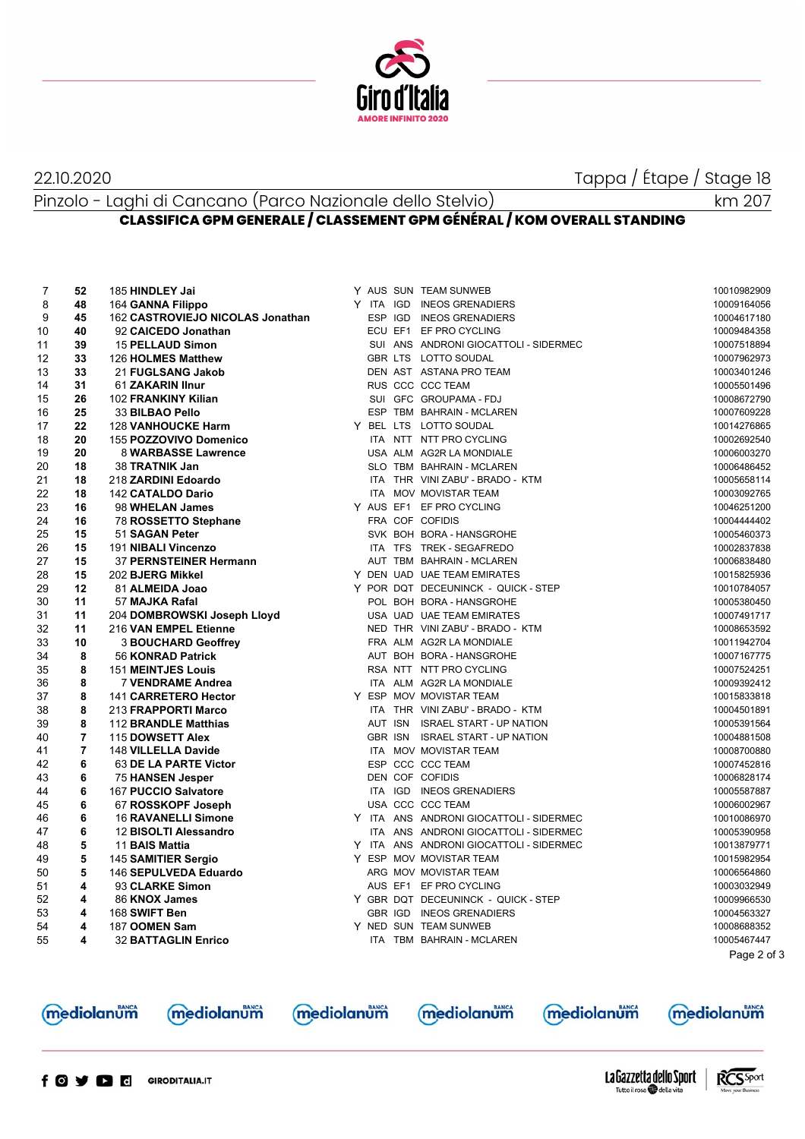

## 22.10.2020 Tappa / Étape / Stage 18

Pinzolo - Laghi di Cancano (Parco Nazionale dello Stelvio)

## **CLASSIFICA GPM GENERALE / CLASSEMENT GPM GÉNÉRAL / KOM OVERALL STANDING**

| 7  | 52             | 185 HINDLEY Jai                  |  | Y AUS SUN TEAM SUNWEB                   | 10010982909 |
|----|----------------|----------------------------------|--|-----------------------------------------|-------------|
| 8  | 48             | 164 GANNA Filippo                |  | Y ITA IGD INEOS GRENADIERS              | 10009164056 |
| 9  | 45             | 162 CASTROVIEJO NICOLAS Jonathan |  | ESP IGD INEOS GRENADIERS                | 10004617180 |
| 10 | 40             | 92 CAICEDO Jonathan              |  | ECU EF1 EF PRO CYCLING                  | 10009484358 |
| 11 | 39             | <b>15 PELLAUD Simon</b>          |  | SUI ANS ANDRONI GIOCATTOLI - SIDERMEC   | 10007518894 |
| 12 | 33             | 126 HOLMES Matthew               |  | GBR LTS LOTTO SOUDAL                    | 10007962973 |
| 13 | 33             | 21 FUGLSANG Jakob                |  | DEN AST ASTANA PRO TEAM                 | 10003401246 |
| 14 | 31             | 61 ZAKARIN IInur                 |  | RUS CCC CCC TEAM                        | 10005501496 |
| 15 | 26             | 102 FRANKINY Kilian              |  | SUI GFC GROUPAMA - FDJ                  | 10008672790 |
| 16 | 25             | 33 BILBAO Pello                  |  | ESP TBM BAHRAIN - MCLAREN               | 10007609228 |
| 17 | 22             | <b>128 VANHOUCKE Harm</b>        |  | Y BEL LTS LOTTO SOUDAL                  | 10014276865 |
| 18 | 20             | 155 POZZOVIVO Domenico           |  | ITA NTT NTT PRO CYCLING                 | 10002692540 |
| 19 | 20             | 8 WARBASSE Lawrence              |  | USA ALM AG2R LA MONDIALE                | 10006003270 |
| 20 | 18             | 38 TRATNIK Jan                   |  | SLO TBM BAHRAIN - MCLAREN               | 10006486452 |
| 21 | 18             | 218 ZARDINI Edoardo              |  | ITA THR VINI ZABU' - BRADO - KTM        | 10005658114 |
| 22 | 18             | <b>142 CATALDO Dario</b>         |  | ITA MOV MOVISTAR TEAM                   | 10003092765 |
| 23 | 16             | 98 WHELAN James                  |  | Y AUS EF1 EF PRO CYCLING                | 10046251200 |
| 24 | 16             | 78 ROSSETTO Stephane             |  | FRA COF COFIDIS                         | 10004444402 |
| 25 | 15             | 51 SAGAN Peter                   |  | SVK BOH BORA - HANSGROHE                | 10005460373 |
| 26 | 15             | 191 NIBALI Vincenzo              |  | ITA TFS TREK - SEGAFREDO                | 10002837838 |
| 27 | 15             | 37 PERNSTEINER Hermann           |  | AUT TBM BAHRAIN - MCLAREN               | 10006838480 |
| 28 | 15             | 202 BJERG Mikkel                 |  | Y DEN UAD UAE TEAM EMIRATES             | 10015825936 |
| 29 | 12             | 81 ALMEIDA Joao                  |  | Y POR DQT DECEUNINCK - QUICK - STEP     | 10010784057 |
| 30 | 11             | 57 MAJKA Rafal                   |  | POL BOH BORA - HANSGROHE                | 10005380450 |
| 31 | 11             | 204 DOMBROWSKI Joseph Lloyd      |  | USA UAD UAE TEAM EMIRATES               | 10007491717 |
| 32 | 11             | 216 VAN EMPEL Etienne            |  | NED THR VINI ZABU' - BRADO - KTM        | 10008653592 |
| 33 | 10             | <b>3 BOUCHARD Geoffrey</b>       |  | FRA ALM AG2R LA MONDIALE                | 10011942704 |
| 34 | 8              | 56 KONRAD Patrick                |  | AUT BOH BORA - HANSGROHE                | 10007167775 |
| 35 | 8              | <b>151 MEINTJES Louis</b>        |  | RSA NTT NTT PRO CYCLING                 | 10007524251 |
| 36 | 8              | <b>7 VENDRAME Andrea</b>         |  | ITA ALM AG2R LA MONDIALE                | 10009392412 |
| 37 | 8              | 141 CARRETERO Hector             |  | Y ESP MOV MOVISTAR TEAM                 | 10015833818 |
| 38 | 8              | 213 FRAPPORTI Marco              |  | ITA THR VINI ZABU' - BRADO - KTM        | 10004501891 |
| 39 | 8              | 112 BRANDLE Matthias             |  | AUT ISN ISRAEL START - UP NATION        | 10005391564 |
| 40 | $\overline{7}$ | 115 DOWSETT Alex                 |  | GBR ISN ISRAEL START - UP NATION        | 10004881508 |
| 41 | $\overline{7}$ | 148 VILLELLA Davide              |  | ITA MOV MOVISTAR TEAM                   | 10008700880 |
| 42 | 6              | 63 DE LA PARTE Victor            |  | ESP CCC CCC TEAM                        | 10007452816 |
| 43 | 6              | 75 HANSEN Jesper                 |  | DEN COF COFIDIS                         | 10006828174 |
| 44 | 6              | 167 PUCCIO Salvatore             |  | ITA IGD INEOS GRENADIERS                | 10005587887 |
| 45 | 6              | 67 ROSSKOPF Joseph               |  | USA CCC CCC TEAM                        | 10006002967 |
| 46 | 6              | <b>16 RAVANELLI Simone</b>       |  | Y ITA ANS ANDRONI GIOCATTOLI - SIDERMEC | 10010086970 |
| 47 | 6              | 12 BISOLTI Alessandro            |  | ITA ANS ANDRONI GIOCATTOLI - SIDERMEC   | 10005390958 |
| 48 | 5              | 11 BAIS Mattia                   |  | Y ITA ANS ANDRONI GIOCATTOLI - SIDERMEC | 10013879771 |
| 49 | 5              | 145 SAMITIER Sergio              |  | Y ESP MOV MOVISTAR TEAM                 | 10015982954 |
| 50 | 5              | 146 SEPULVEDA Eduardo            |  | ARG MOV MOVISTAR TEAM                   | 10006564860 |
| 51 | 4              | 93 CLARKE Simon                  |  | AUS EF1 EF PRO CYCLING                  | 10003032949 |
| 52 | 4              | 86 KNOX James                    |  | Y GBR DQT DECEUNINCK - QUICK - STEP     | 10009966530 |
| 53 | 4              | 168 SWIFT Ben                    |  | GBR IGD INEOS GRENADIERS                | 10004563327 |
| 54 | 4              | 187 OOMEN Sam                    |  | Y NED SUN TEAM SUNWEB                   | 10008688352 |
| 55 | 4              | <b>32 BATTAGLIN Enrico</b>       |  | ITA TBM BAHRAIN - MCLAREN               | 10005467447 |
|    |                |                                  |  |                                         | Page 2 of 3 |
|    |                |                                  |  |                                         |             |
|    |                |                                  |  |                                         |             |





mediolanum

**mediolanum** 

**mediolanum**